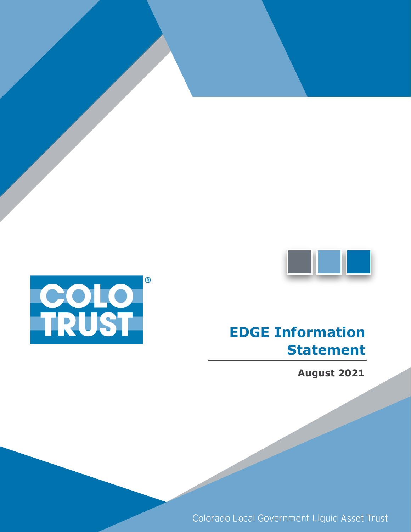

# **Contract Contract**

# **EDGE Information Statement**

**August 2021**

Colorado Local Government Liquid Asset Trust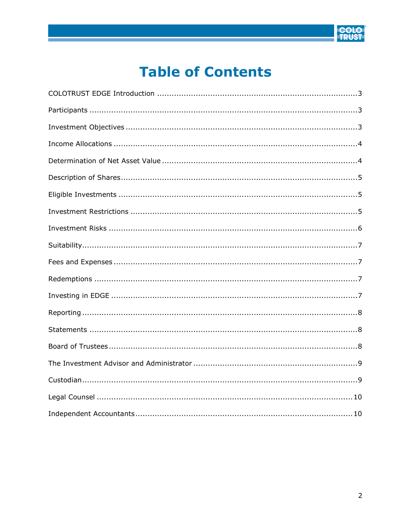

## **Table of Contents**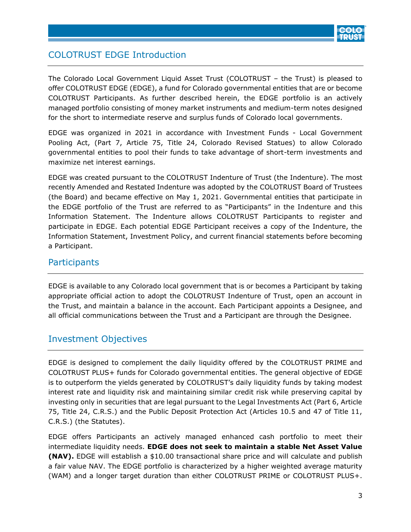

### <span id="page-2-0"></span>COLOTRUST EDGE Introduction

The Colorado Local Government Liquid Asset Trust (COLOTRUST – the Trust) is pleased to offer COLOTRUST EDGE (EDGE), a fund for Colorado governmental entities that are or become COLOTRUST Participants. As further described herein, the EDGE portfolio is an actively managed portfolio consisting of money market instruments and medium-term notes designed for the short to intermediate reserve and surplus funds of Colorado local governments.

EDGE was organized in 2021 in accordance with Investment Funds - Local Government Pooling Act, (Part 7, Article 75, Title 24, Colorado Revised Statues) to allow Colorado governmental entities to pool their funds to take advantage of short-term investments and maximize net interest earnings.

EDGE was created pursuant to the COLOTRUST Indenture of Trust (the Indenture). The most recently Amended and Restated Indenture was adopted by the COLOTRUST Board of Trustees (the Board) and became effective on May 1, 2021. Governmental entities that participate in the EDGE portfolio of the Trust are referred to as "Participants" in the Indenture and this Information Statement. The Indenture allows COLOTRUST Participants to register and participate in EDGE. Each potential EDGE Participant receives a copy of the Indenture, the Information Statement, Investment Policy, and current financial statements before becoming a Participant.

#### <span id="page-2-1"></span>**Participants**

EDGE is available to any Colorado local government that is or becomes a Participant by taking appropriate official action to adopt the COLOTRUST Indenture of Trust, open an account in the Trust, and maintain a balance in the account. Each Participant appoints a Designee, and all official communications between the Trust and a Participant are through the Designee.

#### <span id="page-2-2"></span>Investment Objectives

EDGE is designed to complement the daily liquidity offered by the COLOTRUST PRIME and COLOTRUST PLUS+ funds for Colorado governmental entities. The general objective of EDGE is to outperform the yields generated by COLOTRUST's daily liquidity funds by taking modest interest rate and liquidity risk and maintaining similar credit risk while preserving capital by investing only in securities that are legal pursuant to the Legal Investments Act (Part 6, Article 75, Title 24, C.R.S.) and the Public Deposit Protection Act (Articles 10.5 and 47 of Title 11, C.R.S.) (the Statutes).

EDGE offers Participants an actively managed enhanced cash portfolio to meet their intermediate liquidity needs. **EDGE does not seek to maintain a stable Net Asset Value (NAV).** EDGE will establish a \$10.00 transactional share price and will calculate and publish a fair value NAV. The EDGE portfolio is characterized by a higher weighted average maturity (WAM) and a longer target duration than either COLOTRUST PRIME or COLOTRUST PLUS+.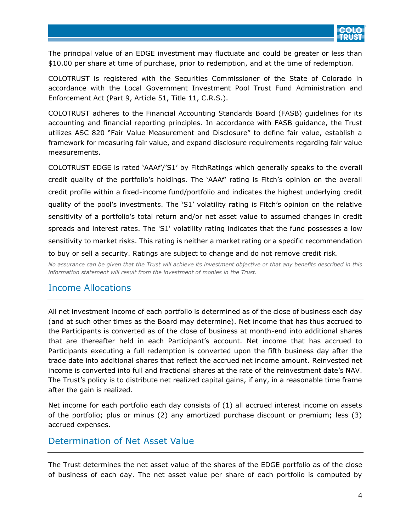

The principal value of an EDGE investment may fluctuate and could be greater or less than \$10.00 per share at time of purchase, prior to redemption, and at the time of redemption.

COLOTRUST is registered with the Securities Commissioner of the State of Colorado in accordance with the Local Government Investment Pool Trust Fund Administration and Enforcement Act (Part 9, Article 51, Title 11, C.R.S.).

COLOTRUST adheres to the Financial Accounting Standards Board (FASB) guidelines for its accounting and financial reporting principles. In accordance with FASB guidance, the Trust utilizes ASC 820 "Fair Value Measurement and Disclosure" to define fair value, establish a framework for measuring fair value, and expand disclosure requirements regarding fair value measurements.

COLOTRUST EDGE is rated 'AAAf'/'S1' by FitchRatings which generally speaks to the overall credit quality of the portfolio's holdings. The 'AAAf' rating is Fitch's opinion on the overall credit profile within a fixed-income fund/portfolio and indicates the highest underlying credit quality of the pool's investments. The 'S1' volatility rating is Fitch's opinion on the relative sensitivity of a portfolio's total return and/or net asset value to assumed changes in credit spreads and interest rates. The 'S1' volatility rating indicates that the fund possesses a low sensitivity to market risks. This rating is neither a market rating or a specific recommendation to buy or sell a security. Ratings are subject to change and do not remove credit risk.

*No assurance can be given that the Trust will achieve its investment objective or that any benefits described in this information statement will result from the investment of monies in the Trust.* 

#### <span id="page-3-0"></span>Income Allocations

All net investment income of each portfolio is determined as of the close of business each day (and at such other times as the Board may determine). Net income that has thus accrued to the Participants is converted as of the close of business at month-end into additional shares that are thereafter held in each Participant's account. Net income that has accrued to Participants executing a full redemption is converted upon the fifth business day after the trade date into additional shares that reflect the accrued net income amount. Reinvested net income is converted into full and fractional shares at the rate of the reinvestment date's NAV. The Trust's policy is to distribute net realized capital gains, if any, in a reasonable time frame after the gain is realized.

Net income for each portfolio each day consists of (1) all accrued interest income on assets of the portfolio; plus or minus (2) any amortized purchase discount or premium; less (3) accrued expenses.

#### <span id="page-3-1"></span>Determination of Net Asset Value

The Trust determines the net asset value of the shares of the EDGE portfolio as of the close of business of each day. The net asset value per share of each portfolio is computed by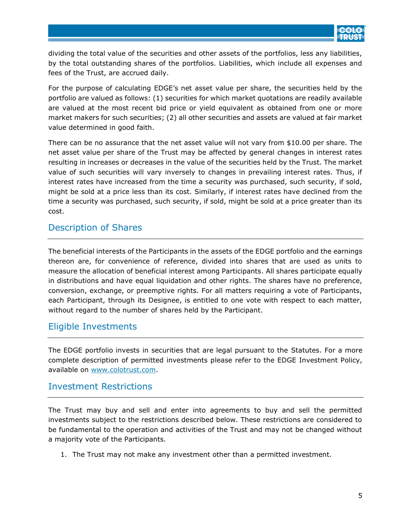

dividing the total value of the securities and other assets of the portfolios, less any liabilities, by the total outstanding shares of the portfolios. Liabilities, which include all expenses and fees of the Trust, are accrued daily.

For the purpose of calculating EDGE's net asset value per share, the securities held by the portfolio are valued as follows: (1) securities for which market quotations are readily available are valued at the most recent bid price or yield equivalent as obtained from one or more market makers for such securities; (2) all other securities and assets are valued at fair market value determined in good faith.

There can be no assurance that the net asset value will not vary from \$10.00 per share. The net asset value per share of the Trust may be affected by general changes in interest rates resulting in increases or decreases in the value of the securities held by the Trust. The market value of such securities will vary inversely to changes in prevailing interest rates. Thus, if interest rates have increased from the time a security was purchased, such security, if sold, might be sold at a price less than its cost. Similarly, if interest rates have declined from the time a security was purchased, such security, if sold, might be sold at a price greater than its cost.

#### <span id="page-4-0"></span>Description of Shares

The beneficial interests of the Participants in the assets of the EDGE portfolio and the earnings thereon are, for convenience of reference, divided into shares that are used as units to measure the allocation of beneficial interest among Participants. All shares participate equally in distributions and have equal liquidation and other rights. The shares have no preference, conversion, exchange, or preemptive rights. For all matters requiring a vote of Participants, each Participant, through its Designee, is entitled to one vote with respect to each matter, without regard to the number of shares held by the Participant.

#### <span id="page-4-1"></span>Eligible Investments

The EDGE portfolio invests in securities that are legal pursuant to the Statutes. For a more complete description of permitted investments please refer to the EDGE Investment Policy, available on www.colotrust.com.

#### <span id="page-4-2"></span>Investment Restrictions

The Trust may buy and sell and enter into agreements to buy and sell the permitted investments subject to the restrictions described below. These restrictions are considered to be fundamental to the operation and activities of the Trust and may not be changed without a majority vote of the Participants.

1. The Trust may not make any investment other than a permitted investment.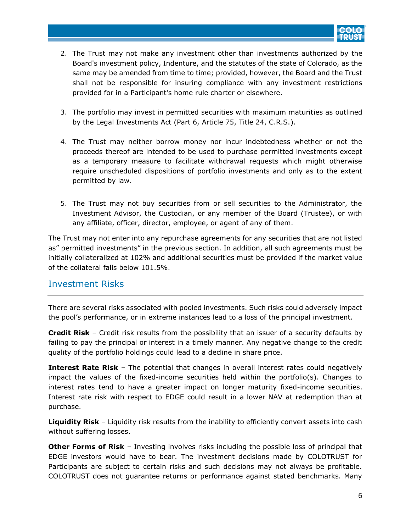

- 2. The Trust may not make any investment other than investments authorized by the Board's investment policy, Indenture, and the statutes of the state of Colorado, as the same may be amended from time to time; provided, however, the Board and the Trust shall not be responsible for insuring compliance with any investment restrictions provided for in a Participant's home rule charter or elsewhere.
- 3. The portfolio may invest in permitted securities with maximum maturities as outlined by the Legal Investments Act (Part 6, Article 75, Title 24, C.R.S.).
- 4. The Trust may neither borrow money nor incur indebtedness whether or not the proceeds thereof are intended to be used to purchase permitted investments except as a temporary measure to facilitate withdrawal requests which might otherwise require unscheduled dispositions of portfolio investments and only as to the extent permitted by law.
- 5. The Trust may not buy securities from or sell securities to the Administrator, the Investment Advisor, the Custodian, or any member of the Board (Trustee), or with any affiliate, officer, director, employee, or agent of any of them.

The Trust may not enter into any repurchase agreements for any securities that are not listed as" permitted investments" in the previous section. In addition, all such agreements must be initially collateralized at 102% and additional securities must be provided if the market value of the collateral falls below 101.5%.

#### <span id="page-5-0"></span>Investment Risks

There are several risks associated with pooled investments. Such risks could adversely impact the pool's performance, or in extreme instances lead to a loss of the principal investment.

**Credit Risk** – Credit risk results from the possibility that an issuer of a security defaults by failing to pay the principal or interest in a timely manner. Any negative change to the credit quality of the portfolio holdings could lead to a decline in share price.

**Interest Rate Risk** – The potential that changes in overall interest rates could negatively impact the values of the fixed-income securities held within the portfolio(s). Changes to interest rates tend to have a greater impact on longer maturity fixed-income securities. Interest rate risk with respect to EDGE could result in a lower NAV at redemption than at purchase.

**Liquidity Risk** – Liquidity risk results from the inability to efficiently convert assets into cash without suffering losses.

**Other Forms of Risk** – Investing involves risks including the possible loss of principal that EDGE investors would have to bear. The investment decisions made by COLOTRUST for Participants are subject to certain risks and such decisions may not always be profitable. COLOTRUST does not guarantee returns or performance against stated benchmarks. Many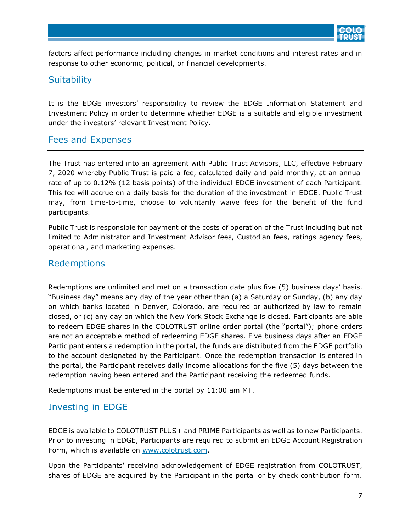

factors affect performance including changes in market conditions and interest rates and in response to other economic, political, or financial developments.

#### <span id="page-6-0"></span>**Suitability**

It is the EDGE investors' responsibility to review the EDGE Information Statement and Investment Policy in order to determine whether EDGE is a suitable and eligible investment under the investors' relevant Investment Policy.

#### <span id="page-6-1"></span>Fees and Expenses

The Trust has entered into an agreement with Public Trust Advisors, LLC, effective February 7, 2020 whereby Public Trust is paid a fee, calculated daily and paid monthly, at an annual rate of up to 0.12% (12 basis points) of the individual EDGE investment of each Participant. This fee will accrue on a daily basis for the duration of the investment in EDGE. Public Trust may, from time-to-time, choose to voluntarily waive fees for the benefit of the fund participants.

Public Trust is responsible for payment of the costs of operation of the Trust including but not limited to Administrator and Investment Advisor fees, Custodian fees, ratings agency fees, operational, and marketing expenses.

#### <span id="page-6-2"></span>Redemptions

Redemptions are unlimited and met on a transaction date plus five (5) business days' basis. "Business day" means any day of the year other than (a) a Saturday or Sunday, (b) any day on which banks located in Denver, Colorado, are required or authorized by law to remain closed, or (c) any day on which the New York Stock Exchange is closed. Participants are able to redeem EDGE shares in the COLOTRUST online order portal (the "portal"); phone orders are not an acceptable method of redeeming EDGE shares. Five business days after an EDGE Participant enters a redemption in the portal, the funds are distributed from the EDGE portfolio to the account designated by the Participant. Once the redemption transaction is entered in the portal, the Participant receives daily income allocations for the five (5) days between the redemption having been entered and the Participant receiving the redeemed funds.

Redemptions must be entered in the portal by 11:00 am MT.

#### <span id="page-6-3"></span>Investing in EDGE

EDGE is available to COLOTRUST PLUS+ and PRIME Participants as well as to new Participants. Prior to investing in EDGE, Participants are required to submit an EDGE Account Registration Form, which is available on www.colotrust.com.

Upon the Participants' receiving acknowledgement of EDGE registration from COLOTRUST, shares of EDGE are acquired by the Participant in the portal or by check contribution form.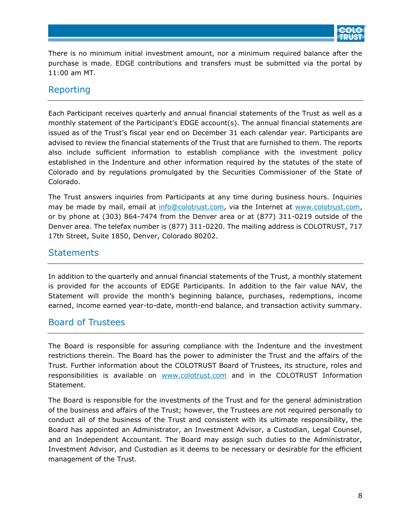

There is no minimum initial investment amount, nor a minimum required balance after the purchase is made. EDGE contributions and transfers must be submitted via the portal by 11:00 am MT.

#### <span id="page-7-0"></span>Reporting

Each Participant receives quarterly and annual financial statements of the Trust as well as a monthly statement of the Participant's EDGE account(s). The annual financial statements are issued as of the Trust's fiscal year end on December 31 each calendar year. Participants are advised to review the financial statements of the Trust that are furnished to them. The reports also include sufficient information to establish compliance with the investment policy established in the Indenture and other information required by the statutes of the state of Colorado and by regulations promulgated by the Securities Commissioner of the State of Colorado.

The Trust answers inquiries from Participants at any time during business hours. Inquiries may be made by mail, email at info@colotrust.com, via the Internet at www.colotrust.com, or by phone at (303) 864-7474 from the Denver area or at (877) 311-0219 outside of the Denver area. The telefax number is (877) 311-0220. The mailing address is COLOTRUST, 717 17th Street, Suite 1850, Denver, Colorado 80202.

#### <span id="page-7-1"></span>**Statements**

In addition to the quarterly and annual financial statements of the Trust, a monthly statement is provided for the accounts of EDGE Participants. In addition to the fair value NAV, the Statement will provide the month's beginning balance, purchases, redemptions, income earned, income earned year-to-date, month-end balance, and transaction activity summary.

#### <span id="page-7-2"></span>Board of Trustees

The Board is responsible for assuring compliance with the Indenture and the investment restrictions therein. The Board has the power to administer the Trust and the affairs of the Trust. Further information about the COLOTRUST Board of Trustees, its structure, roles and responsibilities is available on www.colotrust.com and in the COLOTRUST Information Statement.

The Board is responsible for the investments of the Trust and for the general administration of the business and affairs of the Trust; however, the Trustees are not required personally to conduct all of the business of the Trust and consistent with its ultimate responsibility, the Board has appointed an Administrator, an Investment Advisor, a Custodian, Legal Counsel, and an Independent Accountant. The Board may assign such duties to the Administrator, Investment Advisor, and Custodian as it deems to be necessary or desirable for the efficient management of the Trust.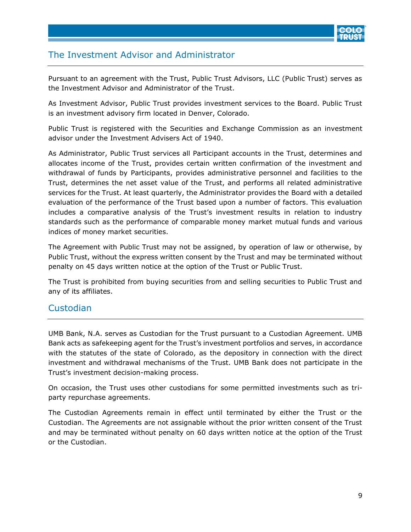

## <span id="page-8-0"></span>The Investment Advisor and Administrator

Pursuant to an agreement with the Trust, Public Trust Advisors, LLC (Public Trust) serves as the Investment Advisor and Administrator of the Trust.

As Investment Advisor, Public Trust provides investment services to the Board. Public Trust is an investment advisory firm located in Denver, Colorado.

Public Trust is registered with the Securities and Exchange Commission as an investment advisor under the Investment Advisers Act of 1940.

As Administrator, Public Trust services all Participant accounts in the Trust, determines and allocates income of the Trust, provides certain written confirmation of the investment and withdrawal of funds by Participants, provides administrative personnel and facilities to the Trust, determines the net asset value of the Trust, and performs all related administrative services for the Trust. At least quarterly, the Administrator provides the Board with a detailed evaluation of the performance of the Trust based upon a number of factors. This evaluation includes a comparative analysis of the Trust's investment results in relation to industry standards such as the performance of comparable money market mutual funds and various indices of money market securities.

The Agreement with Public Trust may not be assigned, by operation of law or otherwise, by Public Trust, without the express written consent by the Trust and may be terminated without penalty on 45 days written notice at the option of the Trust or Public Trust.

The Trust is prohibited from buying securities from and selling securities to Public Trust and any of its affiliates.

#### <span id="page-8-1"></span>Custodian

UMB Bank, N.A. serves as Custodian for the Trust pursuant to a Custodian Agreement. UMB Bank acts as safekeeping agent for the Trust's investment portfolios and serves, in accordance with the statutes of the state of Colorado, as the depository in connection with the direct investment and withdrawal mechanisms of the Trust. UMB Bank does not participate in the Trust's investment decision-making process.

On occasion, the Trust uses other custodians for some permitted investments such as triparty repurchase agreements.

The Custodian Agreements remain in effect until terminated by either the Trust or the Custodian. The Agreements are not assignable without the prior written consent of the Trust and may be terminated without penalty on 60 days written notice at the option of the Trust or the Custodian.